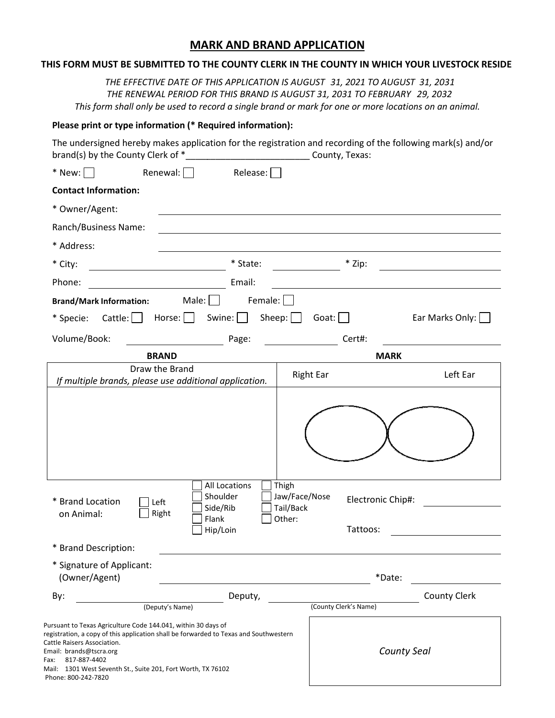## **MARK AND BRAND APPLICATION**

## **MARK AND BRAND APPLICATION**<br>THIS FORM MUST BE SUBMITTED TO THE COUNTY CLERK IN THE COUNTY IN WHICH YOUR LIVESTOCK RESIDE *THE EFFECTIVE DATE OF THIS APPLICATION IS AUGUST 3 APPLICATION IS 31,, 2011 TO AUGUST 2021 TO AUGUST 31, 2031 THE RENEWAL PERIOD FOR THIS BRAND IS PERIOD FOR IS 8, 2022 AUGUST 31, 2031 TO FEBRUARY FEBRUARY 29, 2032*  This form shall only be used to record a single brand or mark for one or more locations on an animal. Please print or type information (\* Required information): The undersigned hereby makes application for the registration and recording of the following mark(s) and/or mark(s) and/or The undersigned hereby makes application for the registration and recording of<br>brand(s) by the County Clerk of \*\_\_\_\_\_\_\_\_\_\_\_\_\_\_\_\_\_\_\_\_\_\_\_\_\_\_\_\_County, Texas: Renewal:  $\Box$ Male:  $\Box$  $*$  New:  $\Box$ **Contact Information:** \* Owner/Agent: Ranch/Business Name: \* Address: \* City: Phone: **Brand/Mark Information:** \* Specie: Cattle: | Horse: | Swine: | Volume/Book: **BRAND**  Draw the Brand *If multiple brands, please use additional application.* | Right Ear \* Brand Location on Animal: Left  $\Box$  Right All All Locations Shoulder Shoulder Side Side/Rib Flank Hip/ Hip/Loin \* Brand Description: \* Signature of Applicant: (Owner/Agent) By: Release:  $\Box$ \* State: \* Zip: Email: Female:  $\Box$  $Sheep: \Box$  Goat:  $\Box$ Page: Cert#: **MARK**  Thigh Jaw/Face/Nose Tail/Back Other: Electronic Chip#: Electronic Chip#: Tattoos: \*Date: Deputy, (County Clerk's Name) *County Seal* Ear Marks Only:  $\Box$  Left Ear County Clerk (Deputy's Name) Pursuant to Texas Agriculture Code 144.041, within 30 days of registration, a copy of this application shall be forwarded to Texas and Southwestern Cattle Raisers Association. Email: brands@tscra.org Fax: 817-887-4402

Mail: 1301 West Seventh St., Suite 201, Fort Worth, TX 76102

Phone: 800-242-7820